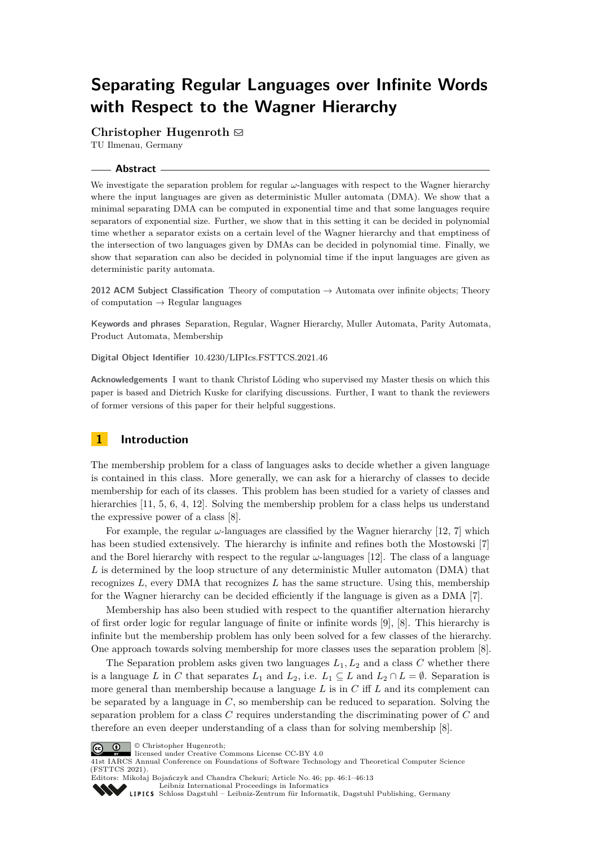# **Separating Regular Languages over Infinite Words with Respect to the Wagner Hierarchy**

# Christopher Hugenroth  $\boxdot$

TU Ilmenau, Germany

# **Abstract**

We investigate the separation problem for regular *ω*-languages with respect to the Wagner hierarchy where the input languages are given as deterministic Muller automata (DMA). We show that a minimal separating DMA can be computed in exponential time and that some languages require separators of exponential size. Further, we show that in this setting it can be decided in polynomial time whether a separator exists on a certain level of the Wagner hierarchy and that emptiness of the intersection of two languages given by DMAs can be decided in polynomial time. Finally, we show that separation can also be decided in polynomial time if the input languages are given as deterministic parity automata.

**2012 ACM Subject Classification** Theory of computation → Automata over infinite objects; Theory of computation  $\rightarrow$  Regular languages

**Keywords and phrases** Separation, Regular, Wagner Hierarchy, Muller Automata, Parity Automata, Product Automata, Membership

**Digital Object Identifier** [10.4230/LIPIcs.FSTTCS.2021.46](https://doi.org/10.4230/LIPIcs.FSTTCS.2021.46)

**Acknowledgements** I want to thank Christof Löding who supervised my Master thesis on which this paper is based and Dietrich Kuske for clarifying discussions. Further, I want to thank the reviewers of former versions of this paper for their helpful suggestions.

# **1 Introduction**

The membership problem for a class of languages asks to decide whether a given language is contained in this class. More generally, we can ask for a hierarchy of classes to decide membership for each of its classes. This problem has been studied for a variety of classes and hierarchies [\[11,](#page-12-0) [5,](#page-12-1) [6,](#page-12-2) [4,](#page-12-3) [12\]](#page-12-4). Solving the membership problem for a class helps us understand the expressive power of a class [\[8\]](#page-12-5).

For example, the regular *ω*-languages are classified by the Wagner hierarchy [\[12,](#page-12-4) [7\]](#page-12-6) which has been studied extensively. The hierarchy is infinite and refines both the Mostowski [\[7\]](#page-12-6) and the Borel hierarchy with respect to the regular  $\omega$ -languages [\[12\]](#page-12-4). The class of a language L is determined by the loop structure of any deterministic Muller automaton (DMA) that recognizes  $L$ , every DMA that recognizes  $L$  has the same structure. Using this, membership for the Wagner hierarchy can be decided efficiently if the language is given as a DMA [\[7\]](#page-12-6).

Membership has also been studied with respect to the quantifier alternation hierarchy of first order logic for regular language of finite or infinite words [\[9\]](#page-12-7), [\[8\]](#page-12-5). This hierarchy is infinite but the membership problem has only been solved for a few classes of the hierarchy. One approach towards solving membership for more classes uses the separation problem [\[8\]](#page-12-5).

The Separation problem asks given two languages  $L_1, L_2$  and a class  $C$  whether there is a language *L* in *C* that separates  $L_1$  and  $L_2$ , i.e.  $L_1 \subseteq L$  and  $L_2 \cap L = \emptyset$ . Separation is more general than membership because a language *L* is in *C* iff *L* and its complement can be separated by a language in *C*, so membership can be reduced to separation. Solving the separation problem for a class *C* requires understanding the discriminating power of *C* and therefore an even deeper understanding of a class than for solving membership [\[8\]](#page-12-5).

© Christopher Hugenroth;  $\boxed{6}$  0



41st IARCS Annual Conference on Foundations of Software Technology and Theoretical Computer Science (FSTTCS 2021).

Editors: Mikołaj Bojańczyk and Chandra Chekuri; Article No. 46; pp. 46:1–46:13 [Leibniz International Proceedings in Informatics](https://www.dagstuhl.de/lipics/)

[Schloss Dagstuhl – Leibniz-Zentrum für Informatik, Dagstuhl Publishing, Germany](https://www.dagstuhl.de)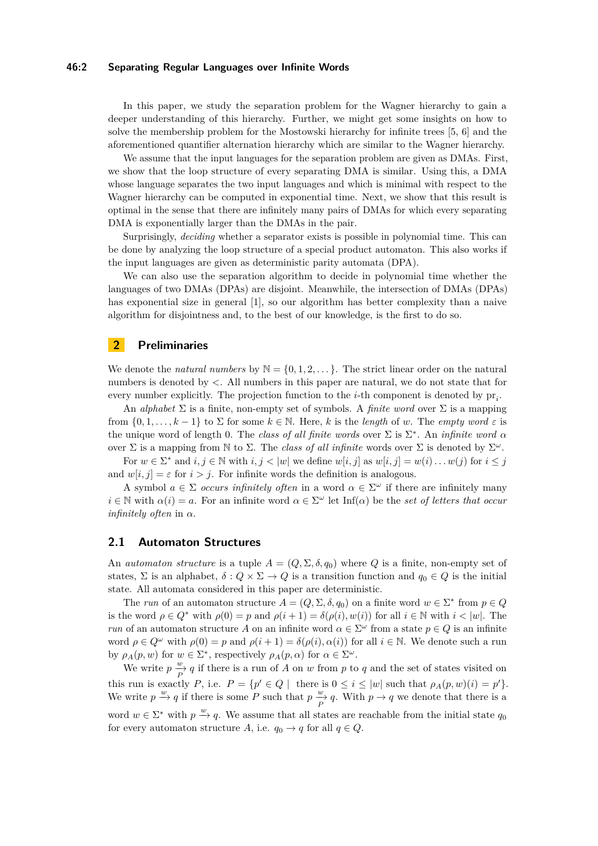#### **46:2 Separating Regular Languages over Infinite Words**

In this paper, we study the separation problem for the Wagner hierarchy to gain a deeper understanding of this hierarchy. Further, we might get some insights on how to solve the membership problem for the Mostowski hierarchy for infinite trees [\[5,](#page-12-1) [6\]](#page-12-2) and the aforementioned quantifier alternation hierarchy which are similar to the Wagner hierarchy.

We assume that the input languages for the separation problem are given as DMAs. First, we show that the loop structure of every separating DMA is similar. Using this, a DMA whose language separates the two input languages and which is minimal with respect to the Wagner hierarchy can be computed in exponential time. Next, we show that this result is optimal in the sense that there are infinitely many pairs of DMAs for which every separating DMA is exponentially larger than the DMAs in the pair.

Surprisingly, *deciding* whether a separator exists is possible in polynomial time. This can be done by analyzing the loop structure of a special product automaton. This also works if the input languages are given as deterministic parity automata (DPA).

We can also use the separation algorithm to decide in polynomial time whether the languages of two DMAs (DPAs) are disjoint. Meanwhile, the intersection of DMAs (DPAs) has exponential size in general [\[1\]](#page-12-8), so our algorithm has better complexity than a naive algorithm for disjointness and, to the best of our knowledge, is the first to do so.

# **2 Preliminaries**

We denote the *natural numbers* by  $\mathbb{N} = \{0, 1, 2, \dots\}$ . The strict linear order on the natural numbers is denoted by *<*. All numbers in this paper are natural, we do not state that for every number explicitly. The projection function to the *i*-th component is denoted by  $pr_i$ .

An *alphabet*  $\Sigma$  is a finite, non-empty set of symbols. A *finite word* over  $\Sigma$  is a mapping from  $\{0, 1, \ldots, k-1\}$  to  $\Sigma$  for some  $k \in \mathbb{N}$ . Here, k is the *length* of *w*. The *empty word*  $\varepsilon$  is the unique word of length 0. The *class of all finite words* over  $\Sigma$  is  $\Sigma^*$ . An *infinite word*  $\alpha$ over  $\Sigma$  is a mapping from  $\mathbb N$  to  $\Sigma$ . The *class of all infinite* words over  $\Sigma$  is denoted by  $\Sigma^{\omega}$ .

For  $w \in \Sigma^*$  and  $i, j \in \mathbb{N}$  with  $i, j < |w|$  we define  $w[i, j]$  as  $w[i, j] = w(i) \dots w(j)$  for  $i \leq j$ and  $w[i, j] = \varepsilon$  for  $i > j$ . For infinite words the definition is analogous.

A symbol  $a \in \Sigma$  *occurs infinitely often* in a word  $\alpha \in \Sigma^{\omega}$  if there are infinitely many  $i \in \mathbb{N}$  with  $\alpha(i) = a$ . For an infinite word  $\alpha \in \Sigma^{\omega}$  let Inf( $\alpha$ ) be the *set of letters that occur infinitely often* in *α*.

## **2.1 Automaton Structures**

An *automaton structure* is a tuple  $A = (Q, \Sigma, \delta, q_0)$  where Q is a finite, non-empty set of states,  $\Sigma$  is an alphabet,  $\delta: Q \times \Sigma \to Q$  is a transition function and  $q_0 \in Q$  is the initial state. All automata considered in this paper are deterministic.

The *run* of an automaton structure  $A = (Q, \Sigma, \delta, q_0)$  on a finite word  $w \in \Sigma^*$  from  $p \in Q$ is the word  $\rho \in Q^*$  with  $\rho(0) = p$  and  $\rho(i+1) = \delta(\rho(i), w(i))$  for all  $i \in \mathbb{N}$  with  $i < |w|$ . The *run* of an automaton structure *A* on an infinite word  $\alpha \in \Sigma^{\omega}$  from a state  $p \in Q$  is an infinite word  $\rho \in Q^{\omega}$  with  $\rho(0) = p$  and  $\rho(i+1) = \delta(\rho(i), \alpha(i))$  for all  $i \in \mathbb{N}$ . We denote such a run by  $\rho_A(p, w)$  for  $w \in \Sigma^*$ , respectively  $\rho_A(p, \alpha)$  for  $\alpha \in \Sigma^{\omega}$ .

We write  $p \stackrel{w}{\rightarrow} q$  if there is a run of *A* on *w* from *p* to *q* and the set of states visited on this run is exactly *P*, i.e.  $P = \{p' \in Q \mid \text{there is } 0 \leq i \leq |w| \text{ such that } \rho_A(p, w)(i) = p'\}.$ We write  $p \stackrel{w}{\to} q$  if there is some *P* such that  $p \stackrel{w}{\to} q$ . With  $p \to q$  we denote that there is a word  $w \in \Sigma^*$  with  $p \stackrel{w}{\to} q$ . We assume that all states are reachable from the initial state  $q_0$ for every automaton structure *A*, i.e.  $q_0 \rightarrow q$  for all  $q \in Q$ .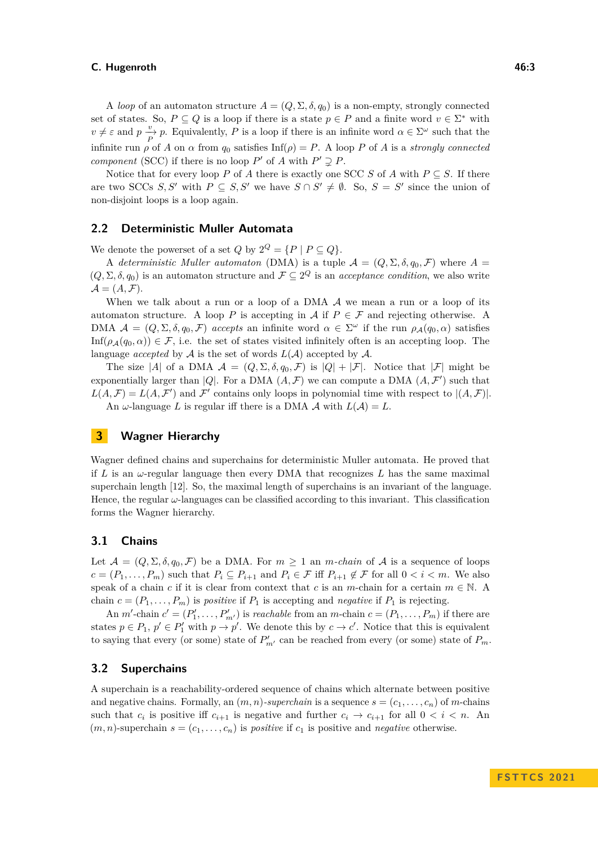A *loop* of an automaton structure  $A = (Q, \Sigma, \delta, q_0)$  is a non-empty, strongly connected set of states. So,  $P \subseteq Q$  is a loop if there is a state  $p \in P$  and a finite word  $v \in \Sigma^*$  with  $v \neq \varepsilon$  and  $p \frac{v}{P}$ , Equivalently, *P* is a loop if there is an infinite word  $\alpha \in \Sigma^{\omega}$  such that the infinite run  $\rho$  of *A* on  $\alpha$  from  $q_0$  satisfies Inf( $\rho$ ) = *P*. A loop *P* of *A* is a *strongly connected component* (SCC) if there is no loop  $P'$  of  $A$  with  $P' \supsetneq P$ .

Notice that for every loop *P* of *A* there is exactly one SCC *S* of *A* with  $P \subseteq S$ . If there are two SCCs *S*, S' with  $P \subseteq S$ , S' we have  $S \cap S' \neq \emptyset$ . So,  $S = S'$  since the union of non-disjoint loops is a loop again.

## **2.2 Deterministic Muller Automata**

We denote the powerset of a set  $Q$  by  $2^Q = {P | P \subseteq Q}$ .

A *deterministic Muller automaton* (DMA) is a tuple  $\mathcal{A} = (Q, \Sigma, \delta, q_0, \mathcal{F})$  where  $A =$  $(Q, \Sigma, \delta, q_0)$  is an automaton structure and  $\mathcal{F} \subseteq 2^Q$  is an *acceptance condition*, we also write  $\mathcal{A} = (A, \mathcal{F}).$ 

When we talk about a run or a loop of a DMA  $A$  we mean a run or a loop of its automaton structure. A loop *P* is accepting in  $A$  if  $P \in \mathcal{F}$  and rejecting otherwise. A DMA  $\mathcal{A} = (Q, \Sigma, \delta, q_0, \mathcal{F})$  *accepts* an infinite word  $\alpha \in \Sigma^\omega$  if the run  $\rho_{\mathcal{A}}(q_0, \alpha)$  satisfies  $\text{Inf}(\rho_{\mathcal{A}}(q_0, \alpha)) \in \mathcal{F}$ , i.e. the set of states visited infinitely often is an accepting loop. The language *accepted* by  $A$  is the set of words  $L(A)$  accepted by  $A$ .

The size |A| of a DMA  $\mathcal{A} = (Q, \Sigma, \delta, q_0, \mathcal{F})$  is  $|Q| + |\mathcal{F}|$ . Notice that  $|\mathcal{F}|$  might be exponentially larger than |Q|. For a DMA  $(A, \mathcal{F})$  we can compute a DMA  $(A, \mathcal{F}')$  such that  $L(A, \mathcal{F}) = L(A, \mathcal{F}')$  and  $\mathcal{F}'$  contains only loops in polynomial time with respect to  $|(A, \mathcal{F})|$ . An  $\omega$ -language *L* is regular iff there is a DMA  $\mathcal{A}$  with  $L(\mathcal{A}) = L$ .

# **3 Wagner Hierarchy**

Wagner defined chains and superchains for deterministic Muller automata. He proved that if *L* is an *ω*-regular language then every DMA that recognizes *L* has the same maximal superchain length [\[12\]](#page-12-4). So, the maximal length of superchains is an invariant of the language. Hence, the regular *ω*-languages can be classified according to this invariant. This classification forms the Wagner hierarchy.

## **3.1 Chains**

Let  $\mathcal{A} = (Q, \Sigma, \delta, q_0, \mathcal{F})$  be a DMA. For  $m \geq 1$  an *m*-chain of  $\mathcal{A}$  is a sequence of loops  $c = (P_1, \ldots, P_m)$  such that  $P_i \subseteq P_{i+1}$  and  $P_i \in \mathcal{F}$  iff  $P_{i+1} \notin \mathcal{F}$  for all  $0 < i < m$ . We also speak of a chain *c* if it is clear from context that *c* is an *m*-chain for a certain  $m \in \mathbb{N}$ . A chain  $c = (P_1, \ldots, P_m)$  is *positive* if  $P_1$  is accepting and *negative* if  $P_1$  is rejecting.

An *m'*-chain  $c' = (P'_1, \ldots, P'_{m'})$  is *reachable* from an *m*-chain  $c = (P_1, \ldots, P_m)$  if there are states  $p \in P_1$ ,  $p' \in P'_1$  with  $p \to p'$ . We denote this by  $c \to c'$ . Notice that this is equivalent to saying that every (or some) state of  $P'_{m'}$  can be reached from every (or some) state of  $P_m$ .

### **3.2 Superchains**

A superchain is a reachability-ordered sequence of chains which alternate between positive and negative chains. Formally, an  $(m, n)$ *-superchain* is a sequence  $s = (c_1, \ldots, c_n)$  of *m*-chains such that  $c_i$  is positive iff  $c_{i+1}$  is negative and further  $c_i \to c_{i+1}$  for all  $0 < i < n$ . An  $(m, n)$ -superchain  $s = (c_1, \ldots, c_n)$  is *positive* if  $c_1$  is positive and *negative* otherwise.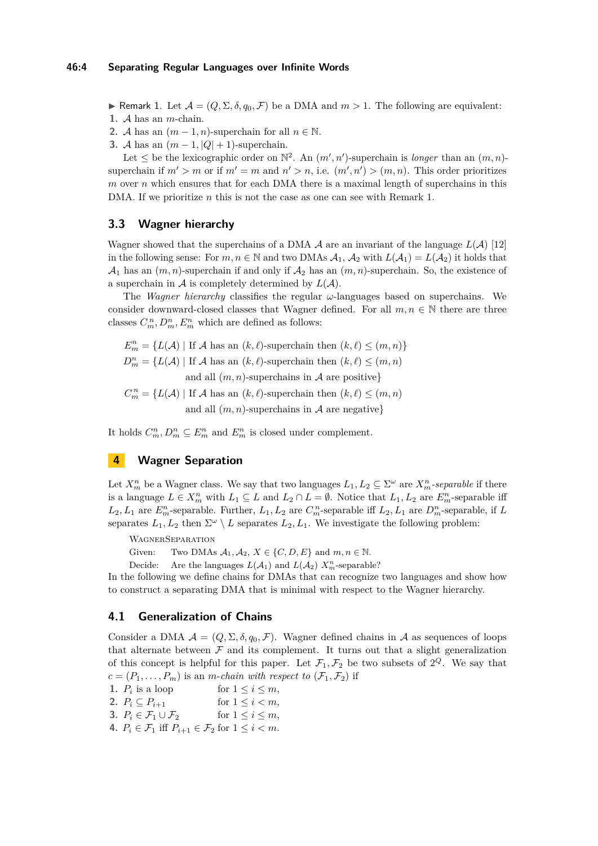**► Remark 1.** Let  $\mathcal{A} = (Q, \Sigma, \delta, q_0, \mathcal{F})$  be a DMA and  $m > 1$ . The following are equivalent:

- **1.** A has an *m*-chain.
- **2.** A has an  $(m-1, n)$ -superchain for all  $n \in \mathbb{N}$ .
- <span id="page-3-0"></span>**3.** A has an  $(m-1, |Q|+1)$ -superchain.

Let  $\leq$  be the lexicographic order on  $\mathbb{N}^2$ . An  $(m', n')$ -superchain is *longer* than an  $(m, n)$ superchain if  $m' > m$  or if  $m' = m$  and  $n' > n$ , i.e.  $(m', n') > (m, n)$ . This order prioritizes *m* over *n* which ensures that for each DMA there is a maximal length of superchains in this DMA. If we prioritize *n* this is not the case as one can see with Remark [1.](#page-3-0)

# **3.3 Wagner hierarchy**

Wagner showed that the superchains of a DMA  $\mathcal A$  are an invariant of the language  $L(\mathcal A)$  [\[12\]](#page-12-4) in the following sense: For  $m, n \in \mathbb{N}$  and two DMAs  $A_1, A_2$  with  $L(A_1) = L(A_2)$  it holds that  $\mathcal{A}_1$  has an  $(m, n)$ -superchain if and only if  $\mathcal{A}_2$  has an  $(m, n)$ -superchain. So, the existence of a superchain in  $\mathcal A$  is completely determined by  $L(\mathcal A)$ .

The *Wagner hierarchy* classifies the regular  $\omega$ -languages based on superchains. We consider downward-closed classes that Wagner defined. For all  $m, n \in \mathbb{N}$  there are three classes  $C_m^n, D_m^n, E_m^n$  which are defined as follows:

 $E_m^n = \{L(\mathcal{A}) \mid \text{If } \mathcal{A} \text{ has an } (k, \ell) \text{-superchain then } (k, \ell) \leq (m, n)\}$  $D_m^n = \{L(\mathcal{A}) \mid \text{If } \mathcal{A} \text{ has an } (k,\ell) \text{-superchain then } (k,\ell) \leq (m,n)$ and all  $(m, n)$ -superchains in A are positive}

 $C_m^n = \{L(\mathcal{A}) \mid \text{If } \mathcal{A} \text{ has an } (k,\ell) \text{-superchain then } (k,\ell) \leq (m,n)$ and all  $(m, n)$ -superchains in A are negative}

It holds  $C_m^n, D_m^n \subseteq E_m^n$  and  $E_m^n$  is closed under complement.

# **4 Wagner Separation**

Let  $X_m^n$  be a Wagner class. We say that two languages  $L_1, L_2 \subseteq \Sigma^\omega$  are  $X_m^n$ -separable if there is a language  $L \in X_m^n$  with  $L_1 \subseteq L$  and  $L_2 \cap L = \emptyset$ . Notice that  $L_1, L_2$  are  $E_m^n$ -separable iff  $L_2, L_1$  are  $E_m^n$ -separable. Further,  $L_1, L_2$  are  $C_m^n$ -separable iff  $L_2, L_1$  are  $D_m^n$ -separable, if  $L$ separates  $L_1, L_2$  then  $\Sigma^{\omega} \setminus L$  separates  $L_2, L_1$ . We investigate the following problem:

WagnerSeparation

Given: Two DMAs  $A_1, A_2, X \in \{C, D, E\}$  and  $m, n \in \mathbb{N}$ .

Decide: Are the languages  $L(\mathcal{A}_1)$  and  $L(\mathcal{A}_2)$   $X_m^n$ -separable?

In the following we define chains for DMAs that can recognize two languages and show how to construct a separating DMA that is minimal with respect to the Wagner hierarchy.

## **4.1 Generalization of Chains**

Consider a DMA  $\mathcal{A} = (Q, \Sigma, \delta, q_0, \mathcal{F})$ . Wagner defined chains in  $\mathcal A$  as sequences of loops that alternate between  $\mathcal F$  and its complement. It turns out that a slight generalization of this concept is helpful for this paper. Let  $\mathcal{F}_1, \mathcal{F}_2$  be two subsets of  $2^Q$ . We say that  $c = (P_1, \ldots, P_m)$  is an *m*-*chain with respect to*  $(\mathcal{F}_1, \mathcal{F}_2)$  if

1.  $P_i$  is a loop for  $1 \leq i \leq m$ , **2.**  $P_i \subseteq P_{i+1}$  for  $1 \leq i < m$ , **3.**  $P_i \in \mathcal{F}_1 \cup \mathcal{F}_2$  for  $1 \leq i \leq m$ , **4.**  $P_i \in \mathcal{F}_1$  iff  $P_{i+1} \in \mathcal{F}_2$  for  $1 \leq i \leq m$ .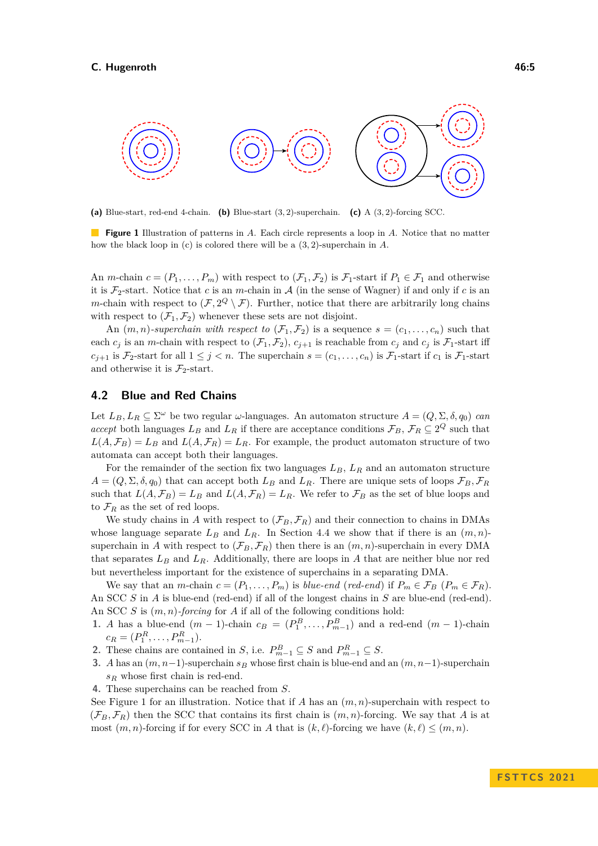<span id="page-4-0"></span>

**(a)** Blue-start, red-end 4-chain. **(b)** Blue-start (3*,* 2)-superchain. **(c)** A (3*,* 2)-forcing SCC.

**Figure 1** Illustration of patterns in *A*. Each circle represents a loop in *A*. Notice that no matter how the black loop in (c) is colored there will be a (3*,* 2)-superchain in *A*.

An *m*-chain  $c = (P_1, \ldots, P_m)$  with respect to  $(\mathcal{F}_1, \mathcal{F}_2)$  is  $\mathcal{F}_1$ -start if  $P_1 \in \mathcal{F}_1$  and otherwise it is  $\mathcal{F}_2$ -start. Notice that *c* is an *m*-chain in *A* (in the sense of Wagner) if and only if *c* is an *m*-chain with respect to  $(F, 2^Q \setminus F)$ . Further, notice that there are arbitrarily long chains with respect to  $(\mathcal{F}_1, \mathcal{F}_2)$  whenever these sets are not disjoint.

An  $(m, n)$ -superchain with respect to  $(\mathcal{F}_1, \mathcal{F}_2)$  is a sequence  $s = (c_1, \ldots, c_n)$  such that each  $c_j$  is an *m*-chain with respect to  $(\mathcal{F}_1, \mathcal{F}_2)$ ,  $c_{j+1}$  is reachable from  $c_j$  and  $c_j$  is  $\mathcal{F}_1$ -start iff  $c_{j+1}$  is  $\mathcal{F}_2$ -start for all  $1 \leq j < n$ . The superchain  $s = (c_1, \ldots, c_n)$  is  $\mathcal{F}_1$ -start if  $c_1$  is  $\mathcal{F}_1$ -start and otherwise it is  $\mathcal{F}_2$ -start.

## **4.2 Blue and Red Chains**

Let  $L_B, L_R \subseteq \Sigma^\omega$  be two regular *ω*-languages. An automaton structure  $A = (Q, \Sigma, \delta, q_0)$  *can accept* both languages  $L_B$  and  $L_R$  if there are acceptance conditions  $\mathcal{F}_B$ ,  $\mathcal{F}_R \subseteq 2^Q$  such that  $L(A, \mathcal{F}_B) = L_B$  and  $L(A, \mathcal{F}_R) = L_R$ . For example, the product automaton structure of two automata can accept both their languages.

For the remainder of the section fix two languages *LB*, *L<sup>R</sup>* and an automaton structure  $A = (Q, \Sigma, \delta, q_0)$  that can accept both  $L_B$  and  $L_R$ . There are unique sets of loops  $\mathcal{F}_B, \mathcal{F}_R$ such that  $L(A, \mathcal{F}_B) = L_B$  and  $L(A, \mathcal{F}_R) = L_R$ . We refer to  $\mathcal{F}_B$  as the set of blue loops and to  $\mathcal{F}_R$  as the set of red loops.

We study chains in A with respect to  $(\mathcal{F}_B, \mathcal{F}_R)$  and their connection to chains in DMAs whose language separate  $L_B$  and  $L_R$ . In Section [4.4](#page-7-0) we show that if there is an  $(m, n)$ superchain in *A* with respect to  $(\mathcal{F}_B, \mathcal{F}_R)$  then there is an  $(m, n)$ -superchain in every DMA that separates  $L_B$  and  $L_R$ . Additionally, there are loops in A that are neither blue nor red but nevertheless important for the existence of superchains in a separating DMA.

We say that an *m*-chain  $c = (P_1, \ldots, P_m)$  is *blue-end* (*red-end*) if  $P_m \in \mathcal{F}_B$  ( $P_m \in \mathcal{F}_R$ ). An SCC *S* in *A* is blue-end (red-end) if all of the longest chains in *S* are blue-end (red-end). An SCC *S* is (*m, n*)*-forcing* for *A* if all of the following conditions hold:

- **1.** *A* has a blue-end  $(m-1)$ -chain  $c_B = (P_1^B, \ldots, P_{m-1}^B)$  and a red-end  $(m-1)$ -chain  $c_R = (P_1^R, \ldots, P_{m-1}^R).$
- **2.** These chains are contained in *S*, i.e.  $P_{m-1}^B \subseteq S$  and  $P_{m-1}^R \subseteq S$ .
- **3.** *A* has an (*m, n*−1)-superchain *s<sup>B</sup>* whose first chain is blue-end and an (*m, n*−1)-superchain *s<sup>R</sup>* whose first chain is red-end.

**4.** These superchains can be reached from *S*.

See Figure [1](#page-4-0) for an illustration. Notice that if *A* has an (*m, n*)-superchain with respect to  $(\mathcal{F}_B, \mathcal{F}_R)$  then the SCC that contains its first chain is  $(m, n)$ -forcing. We say that *A* is at most  $(m, n)$ -forcing if for every SCC in *A* that is  $(k, \ell)$ -forcing we have  $(k, \ell) \leq (m, n)$ .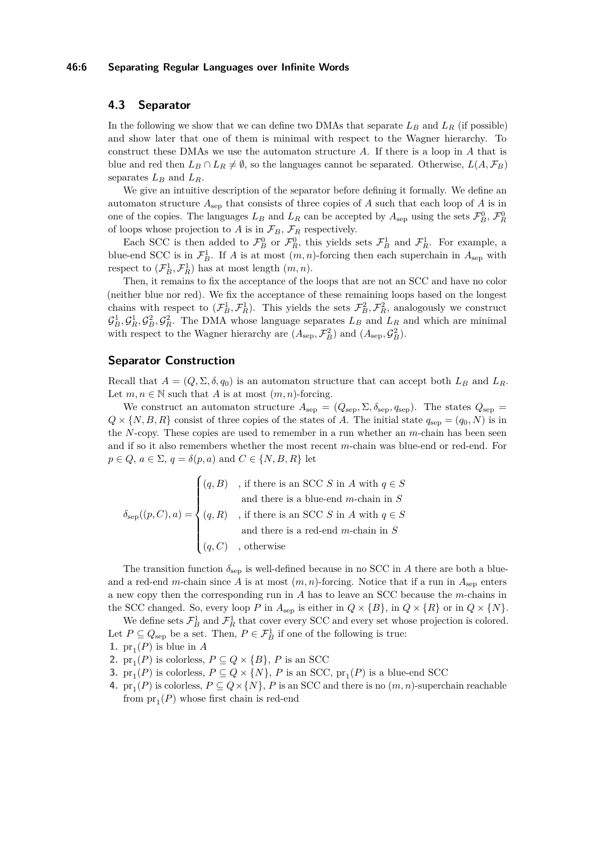#### **46:6 Separating Regular Languages over Infinite Words**

# <span id="page-5-0"></span>**4.3 Separator**

In the following we show that we can define two DMAs that separate  $L_B$  and  $L_R$  (if possible) and show later that one of them is minimal with respect to the Wagner hierarchy. To construct these DMAs we use the automaton structure *A*. If there is a loop in *A* that is blue and red then  $L_B \cap L_R \neq \emptyset$ , so the languages cannot be separated. Otherwise,  $L(A, \mathcal{F}_B)$ separates  $L_B$  and  $L_B$ .

We give an intuitive description of the separator before defining it formally. We define an automaton structure  $A_{\text{sep}}$  that consists of three copies of  $A$  such that each loop of  $A$  is in one of the copies. The languages  $L_B$  and  $L_R$  can be accepted by  $A_{\text{sep}}$  using the sets  $\mathcal{F}_B^0$ ,  $\mathcal{F}_R^0$ of loops whose projection to  $A$  is in  $\mathcal{F}_B$ ,  $\mathcal{F}_R$  respectively.

Each SCC is then added to  $\mathcal{F}_{B}^{0}$  or  $\mathcal{F}_{R}^{0}$ , this yields sets  $\mathcal{F}_{B}^{1}$  and  $\mathcal{F}_{R}^{1}$ . For example, a blue-end SCC is in  $\mathcal{F}_{B}^1$ . If *A* is at most  $(m, n)$ -forcing then each superchain in  $A_{\text{sep}}$  with respect to  $(\mathcal{F}_{B}^{1}, \mathcal{F}_{R}^{1})$  has at most length  $(m, n)$ .

Then, it remains to fix the acceptance of the loops that are not an SCC and have no color (neither blue nor red). We fix the acceptance of these remaining loops based on the longest chains with respect to  $(\mathcal{F}_{B}^{1}, \mathcal{F}_{R}^{1})$ . This yields the sets  $\mathcal{F}_{B}^{2}, \mathcal{F}_{R}^{2}$ , analogously we construct  $G_B^1, G_B^1, G_B^2, G_R^2$ . The DMA whose language separates  $L_B$  and  $L_R$  and which are minimal with respect to the Wagner hierarchy are  $(A_{\text{sep}}, \mathcal{F}_{B}^{2})$  and  $(A_{\text{sep}}, \mathcal{G}_{B}^{2})$ .

## **Separator Construction**

Recall that  $A = (Q, \Sigma, \delta, q_0)$  is an automaton structure that can accept both  $L_B$  and  $L_R$ . Let  $m, n \in \mathbb{N}$  such that *A* is at most  $(m, n)$ -forcing.

We construct an automaton structure  $A_{\text{sep}} = (Q_{\text{sep}}, \Sigma, \delta_{\text{sep}}, q_{\text{sep}})$ . The states  $Q_{\text{sep}} =$  $Q \times \{N, B, R\}$  consist of three copies of the states of *A*. The initial state  $q_{sep} = (q_0, N)$  is in the *N*-copy. These copies are used to remember in a run whether an *m*-chain has been seen and if so it also remembers whether the most recent *m*-chain was blue-end or red-end. For  $p \in Q$ ,  $a \in \Sigma$ ,  $q = \delta(p, a)$  and  $C \in \{N, B, R\}$  let

$$
\delta_{\rm sep}((p, C), a) = \begin{cases} (q, B) & \text{, if there is an SCC } S \text{ in } A \text{ with } q \in S \\ & \text{and there is a blue-end } m \text{-chain in } S \\ (q, R) & \text{, if there is an SCC } S \text{ in } A \text{ with } q \in S \\ & \text{and there is a red-end } m \text{-chain in } S \\ (q, C) & \text{, otherwise} \end{cases}
$$

The transition function  $\delta_{\rm sen}$  is well-defined because in no SCC in *A* there are both a blueand a red-end *m*-chain since *A* is at most  $(m, n)$ -forcing. Notice that if a run in  $A_{\text{sep}}$  enters a new copy then the corresponding run in *A* has to leave an SCC because the *m*-chains in the SCC changed. So, every loop *P* in  $A_{\text{sep}}$  is either in  $Q \times \{B\}$ , in  $Q \times \{R\}$  or in  $Q \times \{N\}$ .

We define sets  $\mathcal{F}_{B}^{1}$  and  $\mathcal{F}_{R}^{1}$  that cover every SCC and every set whose projection is colored. Let  $P \subseteq Q_{\text{sep}}$  be a set. Then,  $P \in \mathcal{F}_{B}^1$  if one of the following is true:

- **1.**  $pr_1(P)$  is blue in *A*
- **2.**  $pr_1(P)$  is colorless,  $P \subseteq Q \times \{B\}$ , *P* is an SCC
- **3.**  $pr_1(P)$  is colorless,  $P \subseteq Q \times \{N\}$ , *P* is an SCC,  $pr_1(P)$  is a blue-end SCC
- **4.**  $pr_1(P)$  is colorless,  $P \subseteq Q \times \{N\}$ , *P* is an SCC and there is no  $(m, n)$ -superchain reachable from  $pr_1(P)$  whose first chain is red-end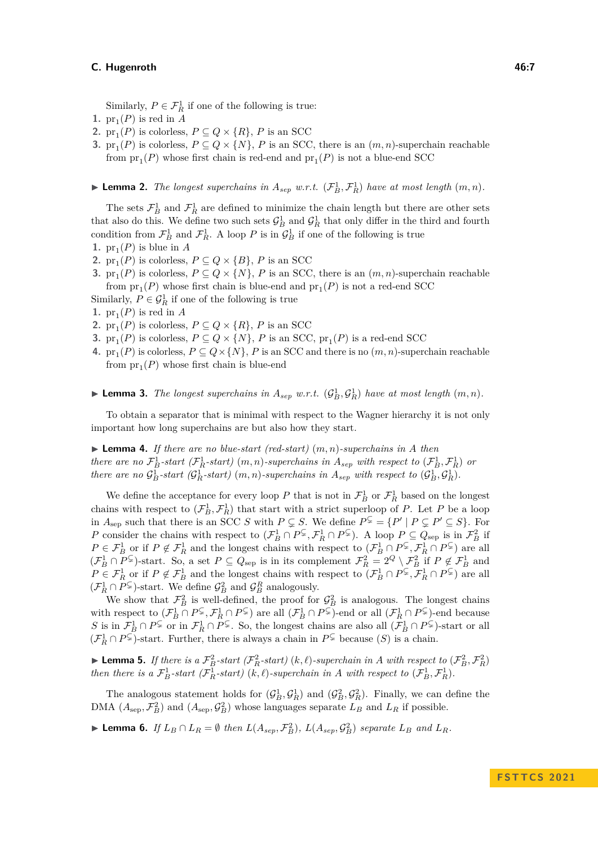Similarly,  $P \in \mathcal{F}_R^1$  if one of the following is true:

- **1.**  $pr_1(P)$  is red in *A*
- **2.**  $pr_1(P)$  is colorless,  $P \subseteq Q \times \{R\}$ , *P* is an SCC
- **3.**  $pr_1(P)$  is colorless,  $P \subseteq Q \times \{N\}$ , *P* is an SCC, there is an  $(m, n)$ -superchain reachable from  $pr_1(P)$  whose first chain is red-end and  $pr_1(P)$  is not a blue-end SCC

 $\blacktriangleright$  **Lemma 2.** *The longest superchains in*  $A_{sep}$  *w.r.t.*  $(\mathcal{F}_{B}^{1}, \mathcal{F}_{R}^{1})$  *have at most length*  $(m, n)$ *.* 

The sets  $\mathcal{F}_{B}^{1}$  and  $\mathcal{F}_{R}^{1}$  are defined to minimize the chain length but there are other sets that also do this. We define two such sets  $\mathcal{G}_B^1$  and  $\mathcal{G}_R^1$  that only differ in the third and fourth condition from  $\mathcal{F}_{B}^1$  and  $\mathcal{F}_{R}^1$ . A loop P is in  $\mathcal{G}_{B}^1$  if one of the following is true

- **1.**  $pr_1(P)$  is blue in *A*
- **2.**  $pr_1(P)$  is colorless,  $P \subseteq Q \times \{B\}$ , *P* is an SCC
- **3.**  $pr_1(P)$  is colorless,  $P \subseteq Q \times \{N\}$ , *P* is an SCC, there is an  $(m, n)$ -superchain reachable from  $pr_1(P)$  whose first chain is blue-end and  $pr_1(P)$  is not a red-end SCC
- Similarly,  $P \in \mathcal{G}_R^1$  if one of the following is true
- **1.**  $pr_1(P)$  is red in *A*
- **2.**  $pr_1(P)$  is colorless,  $P \subseteq Q \times \{R\}$ , *P* is an SCC
- **3.**  $pr_1(P)$  is colorless,  $P \subseteq Q \times \{N\}$ , *P* is an SCC,  $pr_1(P)$  is a red-end SCC
- **4.**  $pr_1(P)$  is colorless,  $P \subseteq Q \times \{N\}$ , *P* is an SCC and there is no  $(m, n)$ -superchain reachable from  $pr_1(P)$  whose first chain is blue-end

**Example 12.** The longest superchains in  $A_{sep}$  w.r.t.  $(\mathcal{G}_B^1, \mathcal{G}_R^1)$  have at most length  $(m, n)$ .

To obtain a separator that is minimal with respect to the Wagner hierarchy it is not only important how long superchains are but also how they start.

▶ **Lemma 4.** *If there are no blue-start (red-start)* (*m, n*)*-superchains in A then there are no*  $\mathcal{F}_{B}^{1}$ *-start*)  $(\mathcal{F}_{R}^{1}$ *-start*)  $(m, n)$ *-superchains in*  $A_{sep}$  *with respect to*  $(\mathcal{F}_{B}^{1}, \mathcal{F}_{R}^{1})$  *or there are no*  $\mathcal{G}_B^1$ *-start*)  $(m, n)$ *-superchains in*  $A_{sep}$  *with respect to*  $(\mathcal{G}_B^1, \mathcal{G}_R^1)$ *.* 

We define the acceptance for every loop P that is not in  $\mathcal{F}_{B}^{1}$  or  $\mathcal{F}_{R}^{1}$  based on the longest chains with respect to  $(\mathcal{F}_{B}^{1}, \mathcal{F}_{R}^{1})$  that start with a strict superloop of *P*. Let *P* be a loop in  $A_{\text{sep}}$  such that there is an SCC *S* with  $P \subsetneq S$ . We define  $P^{\subsetneq} = \{P' \mid P \subsetneq P' \subseteq S\}$ . For *P* consider the chains with respect to  $(\mathcal{F}_{B}^1 \cap P^{\subsetneq}, \mathcal{F}_{R}^1 \cap P^{\subsetneq})$ . A loop  $P \subseteq Q_{\text{sep}}$  is in  $\mathcal{F}_{B}^2$  if  $P \in \mathcal{F}_B^1$  or if  $P \notin \mathcal{F}_R^1$  and the longest chains with respect to  $(\mathcal{F}_B^1 \cap P^{\subsetneq}, \mathcal{F}_R^1 \cap P^{\subsetneq})$  are all  $(\mathcal{F}_B^1 \cap P^{\subsetneq})$ -start. So, a set  $P \subseteq Q_{\text{sep}}$  is in its complement  $\mathcal{F}_R^2 = 2^Q \setminus \mathcal{F}_B^2$  if  $P \notin \mathcal{F}_B^1$  and  $P \in \mathcal{F}_R^1$  or if  $P \notin \mathcal{F}_B^1$  and the longest chains with respect to  $(\mathcal{F}_B^1 \cap P^{\subsetneq}, \mathcal{F}_R^1 \cap P^{\subsetneq})$  are all  $(\mathcal{F}_R^1 \cap P^{\subsetneq})$ -start. We define  $\mathcal{G}_B^2$  and  $\mathcal{G}_B^R$  analogously.

We show that  $\mathcal{F}_{B}^{2}$  is well-defined, the proof for  $\mathcal{G}_{B}^{2}$  is analogous. The longest chains with respect to  $(\mathcal{F}_B^1 \cap P^{\subsetneq}, \mathcal{F}_R^1 \cap P^{\subsetneq})$  are all  $(\mathcal{F}_B^1 \cap P^{\subsetneq})$ -end or all  $(\mathcal{F}_R^1 \cap P^{\subsetneq})$ -end because *S* is in  $\mathcal{F}_{B}^1 \cap P^{\subsetneq}$  or in  $\mathcal{F}_{R}^1 \cap P^{\subsetneq}$ . So, the longest chains are also all  $(\mathcal{F}_{B}^1 \cap P^{\subsetneq})$ -start or all  $(F_R^1 ∩ P^{\subsetneq})$ -start. Further, there is always a chain in  $P^{\subsetneq}$  because  $(S)$  is a chain.

**Example 1** Lemma 5. If there is a  $\mathcal{F}_B^2$ -start ( $\mathcal{F}_R^2$ -start) (k,  $\ell$ )-superchain in A with respect to  $(\mathcal{F}_B^2, \mathcal{F}_R^2)$ *then there is a*  $\mathcal{F}_{B}^{1}$ *-start* ( $\mathcal{F}_{R}^{1}$ *-start*) (*k, ℓ*)*-superchain in A with respect to* ( $\mathcal{F}_{B}^{1}, \mathcal{F}_{R}^{1}$ ).

The analogous statement holds for  $(G_B^1, G_R^1)$  and  $(G_B^2, G_R^2)$ . Finally, we can define the DMA  $(A_{\text{sep}}, \mathcal{F}_{B}^{2})$  and  $(A_{\text{sep}}, \mathcal{G}_{B}^{2})$  whose languages separate  $L_{B}$  and  $L_{R}$  if possible.

**Lemma 6.** If  $L_B \cap L_R = \emptyset$  then  $L(A_{sep}, \mathcal{F}_B^2)$ ,  $L(A_{sep}, \mathcal{G}_B^2)$  separate  $L_B$  and  $L_R$ .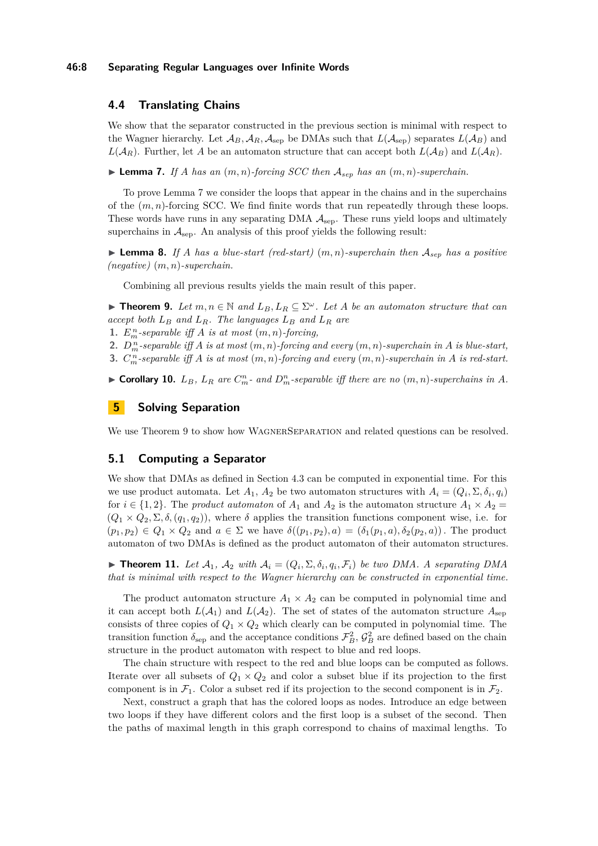#### **46:8 Separating Regular Languages over Infinite Words**

# <span id="page-7-0"></span>**4.4 Translating Chains**

We show that the separator constructed in the previous section is minimal with respect to the Wagner hierarchy. Let  $\mathcal{A}_B$ ,  $\mathcal{A}_R$ ,  $\mathcal{A}_{\text{sep}}$  be DMAs such that  $L(\mathcal{A}_{\text{sep}})$  separates  $L(\mathcal{A}_B)$  and  $L(A_R)$ . Further, let A be an automaton structure that can accept both  $L(A_R)$  and  $L(A_R)$ .

<span id="page-7-1"></span> $\blacktriangleright$  **Lemma 7.** If *A* has an  $(m, n)$ -forcing SCC then  $A_{sep}$  has an  $(m, n)$ -superchain.

To prove Lemma [7](#page-7-1) we consider the loops that appear in the chains and in the superchains of the (*m, n*)-forcing SCC. We find finite words that run repeatedly through these loops. These words have runs in any separating DMA  $A_{\rm sep}$ . These runs yield loops and ultimately superchains in  $A_{\rm sep}$ . An analysis of this proof yields the following result:

 $\blacktriangleright$  **Lemma 8.** If *A* has a blue-start (red-start)  $(m, n)$ -superchain then  $A_{sep}$  has a positive *(negative)* (*m, n*)*-superchain.*

Combining all previous results yields the main result of this paper.

▶ **Theorem 9.** Let  $m, n \in \mathbb{N}$  and  $L_B, L_R \subseteq \Sigma^\omega$ . Let A be an automaton structure that can *accept both L<sup>B</sup> and LR. The languages L<sup>B</sup> and L<sup>R</sup> are*

**1.**  $E_m^n$ -separable iff  $A$  is at most  $(m, n)$ -forcing,

**2.**  $D_m^n$ -separable iff  $A$  is at most  $(m, n)$ -forcing and every  $(m, n)$ -superchain in  $A$  is blue-start,

<span id="page-7-2"></span>**3.**  $C_m^n$ -separable iff  $A$  is at most  $(m, n)$ -forcing and every  $(m, n)$ -superchain in  $A$  is red-start.

► Corollary 10.  $L_B$ ,  $L_R$  are  $C_m^n$ - and  $D_m^n$ -separable iff there are no  $(m, n)$ -superchains in A.

# **5 Solving Separation**

We use Theorem [9](#page-7-2) to show how WAGNERSEPARATION and related questions can be resolved.

## **5.1 Computing a Separator**

We show that DMAs as defined in Section [4.3](#page-5-0) can be computed in exponential time. For this we use product automata. Let  $A_1$ ,  $A_2$  be two automaton structures with  $A_i = (Q_i, \Sigma, \delta_i, q_i)$ for  $i \in \{1,2\}$ . The *product automaton* of  $A_1$  and  $A_2$  is the automaton structure  $A_1 \times A_2 =$  $(Q_1 \times Q_2, \Sigma, \delta, (q_1, q_2))$ , where  $\delta$  applies the transition functions component wise, i.e. for  $(p_1, p_2) \in Q_1 \times Q_2$  and  $a \in \Sigma$  we have  $\delta((p_1, p_2), a) = (\delta_1(p_1, a), \delta_2(p_2, a))$ . The product automaton of two DMAs is defined as the product automaton of their automaton structures.

 $\blacktriangleright$  **Theorem 11.** Let  $\mathcal{A}_1$ ,  $\mathcal{A}_2$  with  $\mathcal{A}_i = (Q_i, \Sigma, \delta_i, q_i, \mathcal{F}_i)$  be two DMA. A separating DMA *that is minimal with respect to the Wagner hierarchy can be constructed in exponential time.*

The product automaton structure  $A_1 \times A_2$  can be computed in polynomial time and it can accept both  $L(\mathcal{A}_1)$  and  $L(\mathcal{A}_2)$ . The set of states of the automaton structure  $A_{\text{sep}}$ consists of three copies of  $Q_1 \times Q_2$  which clearly can be computed in polynomial time. The transition function  $\delta_{\text{sep}}$  and the acceptance conditions  $\mathcal{F}_{B}^2$ ,  $\mathcal{G}_{B}^2$  are defined based on the chain structure in the product automaton with respect to blue and red loops.

The chain structure with respect to the red and blue loops can be computed as follows. Iterate over all subsets of  $Q_1 \times Q_2$  and color a subset blue if its projection to the first component is in  $\mathcal{F}_1$ . Color a subset red if its projection to the second component is in  $\mathcal{F}_2$ .

Next, construct a graph that has the colored loops as nodes. Introduce an edge between two loops if they have different colors and the first loop is a subset of the second. Then the paths of maximal length in this graph correspond to chains of maximal lengths. To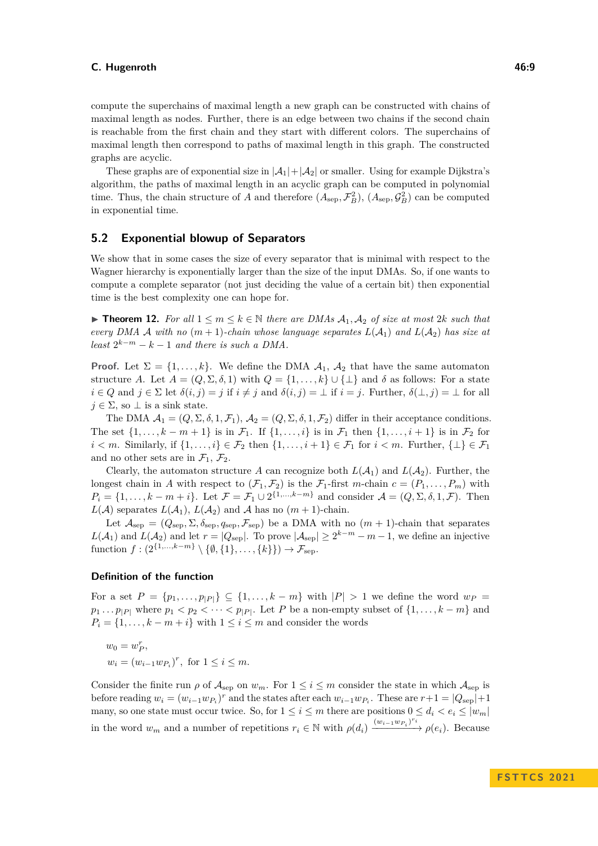compute the superchains of maximal length a new graph can be constructed with chains of maximal length as nodes. Further, there is an edge between two chains if the second chain is reachable from the first chain and they start with different colors. The superchains of maximal length then correspond to paths of maximal length in this graph. The constructed graphs are acyclic.

These graphs are of exponential size in  $|\mathcal{A}_1| + |\mathcal{A}_2|$  or smaller. Using for example Dijkstra's algorithm, the paths of maximal length in an acyclic graph can be computed in polynomial time. Thus, the chain structure of *A* and therefore  $(A_{\text{sep}}, \mathcal{F}_{B}^{2}), (A_{\text{sep}}, \mathcal{G}_{B}^{2})$  can be computed in exponential time.

# **5.2 Exponential blowup of Separators**

We show that in some cases the size of every separator that is minimal with respect to the Wagner hierarchy is exponentially larger than the size of the input DMAs. So, if one wants to compute a complete separator (not just deciding the value of a certain bit) then exponential time is the best complexity one can hope for.

▶ **Theorem 12.** For all  $1 \leq m \leq k \in \mathbb{N}$  there are DMAs  $\mathcal{A}_1, \mathcal{A}_2$  of size at most 2*k* such that *every DMA* A *with no*  $(m + 1)$ *-chain whose language separates*  $L(A_1)$  *and*  $L(A_2)$  *has size at least*  $2^{k-m} - k - 1$  *and there is such a DMA*.

**Proof.** Let  $\Sigma = \{1, \ldots, k\}$ . We define the DMA  $\mathcal{A}_1$ ,  $\mathcal{A}_2$  that have the same automaton structure *A*. Let  $A = (Q, \Sigma, \delta, 1)$  with  $Q = \{1, \ldots, k\} \cup \{\bot\}$  and  $\delta$  as follows: For a state  $i \in Q$  and  $j \in \Sigma$  let  $\delta(i, j) = j$  if  $i \neq j$  and  $\delta(i, j) = \bot$  if  $i = j$ . Further,  $\delta(\bot, j) = \bot$  for all  $j \in \Sigma$ , so  $\bot$  is a sink state.

The DMA  $A_1 = (Q, \Sigma, \delta, 1, \mathcal{F}_1), A_2 = (Q, \Sigma, \delta, 1, \mathcal{F}_2)$  differ in their acceptance conditions. The set  $\{1, \ldots, k-m+1\}$  is in  $\mathcal{F}_1$ . If  $\{1, \ldots, i\}$  is in  $\mathcal{F}_1$  then  $\{1, \ldots, i+1\}$  is in  $\mathcal{F}_2$  for *i* < *m*. Similarly, if  $\{1, \ldots, i\}$  ∈  $\mathcal{F}_2$  then  $\{1, \ldots, i+1\}$  ∈  $\mathcal{F}_1$  for *i* < *m*. Further,  $\{\perp\}$  ∈  $\mathcal{F}_1$ and no other sets are in  $\mathcal{F}_1$ ,  $\mathcal{F}_2$ .

Clearly, the automaton structure *A* can recognize both  $L(A_1)$  and  $L(A_2)$ . Further, the longest chain in *A* with respect to  $(\mathcal{F}_1, \mathcal{F}_2)$  is the  $\mathcal{F}_1$ -first *m*-chain  $c = (P_1, \ldots, P_m)$  with  $P_i = \{1, \ldots, k - m + i\}$ . Let  $\mathcal{F} = \mathcal{F}_1 \cup 2^{\{1, \ldots, k - m\}}$  and consider  $\mathcal{A} = (Q, \Sigma, \delta, 1, \mathcal{F})$ . Then  $L(\mathcal{A})$  separates  $L(\mathcal{A}_1)$ ,  $L(\mathcal{A}_2)$  and  $\mathcal{A}$  has no  $(m+1)$ -chain.

Let  $\mathcal{A}_{sep} = (Q_{sep}, \Sigma, \delta_{sep}, q_{sep}, \mathcal{F}_{sep})$  be a DMA with no  $(m + 1)$ -chain that separates  $L(\mathcal{A}_1)$  and  $L(\mathcal{A}_2)$  and let  $r = |Q_{\text{sep}}|$ . To prove  $|\mathcal{A}_{\text{sep}}| \geq 2^{k-m} - m - 1$ , we define an injective function  $f: (2^{\{1,\ldots,k-m\}} \setminus \{\emptyset, \{1\}, \ldots, \{k\}\}) \to \mathcal{F}_{\text{sep}}$ .

## **Definition of the function**

For a set  $P = \{p_1, \ldots, p_{|P|}\} \subseteq \{1, \ldots, k-m\}$  with  $|P| > 1$  we define the word  $w_P =$  $p_1 \ldots p_{|P|}$  where  $p_1 < p_2 < \cdots < p_{|P|}$ . Let *P* be a non-empty subset of  $\{1, \ldots, k-m\}$  and  $P_i = \{1, \ldots, k - m + i\}$  with  $1 \leq i \leq m$  and consider the words

$$
w_0 = w_P^r
$$
,  
\n $w_i = (w_{i-1}w_{P_i})^r$ , for  $1 \le i \le m$ .

Consider the finite run  $\rho$  of  $\mathcal{A}_{\text{sep}}$  on  $w_m$ . For  $1 \leq i \leq m$  consider the state in which  $\mathcal{A}_{\text{sep}}$  is before reading  $w_i = (w_{i-1}w_{P_i})^r$  and the states after each  $w_{i-1}w_{P_i}$ . These are  $r+1 = |Q_{\text{sep}}|+1$ many, so one state must occur twice. So, for  $1 \leq i \leq m$  there are positions  $0 \leq d_i < e_i \leq |w_m|$ in the word  $w_m$  and a number of repetitions  $r_i \in \mathbb{N}$  with  $\rho(d_i) \xrightarrow{(w_{i-1}w_{P_i})^{r_i}} \rho(e_i)$ . Because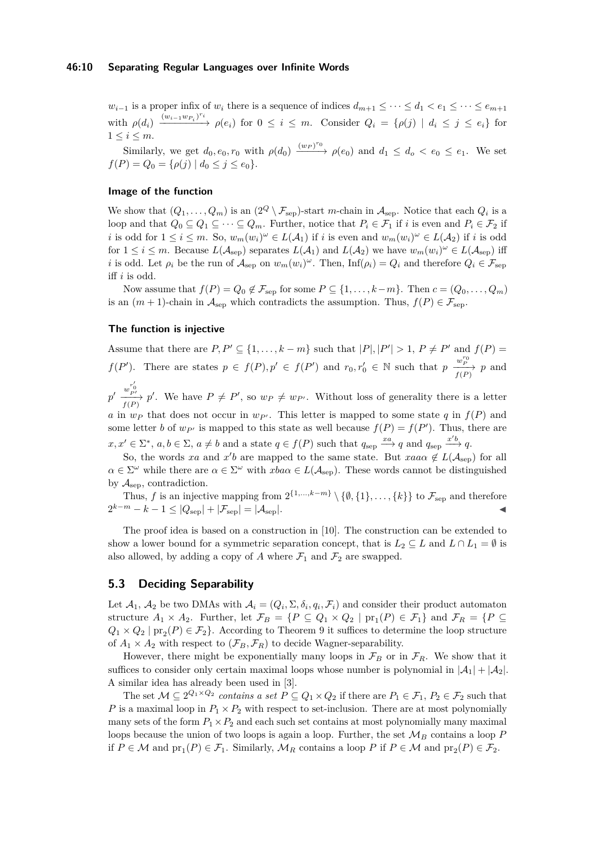*w*<sub>*i*−1</sub> is a proper infix of *w<sub>i</sub>* there is a sequence of indices  $d_{m+1} \leq \cdots \leq d_1 < e_1 \leq \cdots \leq e_{m+1}$ with  $\rho(d_i) \xrightarrow{(w_{i-1}w_{P_i})^{r_i}} \rho(e_i)$  for  $0 \leq i \leq m$ . Consider  $Q_i = {\rho(j) | d_i \leq j \leq e_i}$  for  $1 \leq i \leq m$ .

Similarly, we get  $d_0, e_0, r_0$  with  $\rho(d_0) \xrightarrow{(w_P)^{r_0}} \rho(e_0)$  and  $d_1 \leq d_0 < e_0 \leq e_1$ . We set  $f(P) = Q_0 = \{ \rho(j) \mid d_0 \leq j \leq e_0 \}.$ 

## **Image of the function**

We show that  $(Q_1, \ldots, Q_m)$  is an  $(2^Q \setminus \mathcal{F}_{\text{sep}})$ -start *m*-chain in  $\mathcal{A}_{\text{sep}}$ . Notice that each  $Q_i$  is a loop and that  $Q_0 \subseteq Q_1 \subseteq \cdots \subseteq Q_m$ . Further, notice that  $P_i \in \mathcal{F}_1$  if *i* is even and  $P_i \in \mathcal{F}_2$  if *i* is odd for  $1 \leq i \leq m$ . So,  $w_m(w_i)^\omega \in L(\mathcal{A}_1)$  if *i* is even and  $w_m(w_i)^\omega \in L(\mathcal{A}_2)$  if *i* is odd for  $1 \leq i \leq m$ . Because  $L(A_{\text{sep}})$  separates  $L(A_1)$  and  $L(A_2)$  we have  $w_m(w_i)^\omega \in L(A_{\text{sep}})$  iff *i* is odd. Let  $\rho_i$  be the run of  $\mathcal{A}_{\text{sep}}$  on  $w_m(w_i)^\omega$ . Then,  $\text{Inf}(\rho_i) = Q_i$  and therefore  $Q_i \in \mathcal{F}_{\text{sep}}$ iff *i* is odd.

Now assume that  $f(P) = Q_0 \notin \mathcal{F}_{\text{sep}}$  for some  $P \subseteq \{1, \ldots, k-m\}$ . Then  $c = (Q_0, \ldots, Q_m)$ is an  $(m + 1)$ -chain in  $\mathcal{A}_{\text{sep}}$  which contradicts the assumption. Thus,  $f(P) \in \mathcal{F}_{\text{sep}}$ .

#### **The function is injective**

Assume that there are  $P, P' \subseteq \{1, \ldots, k-m\}$  such that  $|P|, |P'| > 1, P \neq P'$  and  $f(P) =$ *f*(*P*<sup>'</sup>). There are states  $p \in f(P), p' \in f(P')$  and  $r_0, r'_0 \in \mathbb{N}$  such that  $p \frac{w_P^{r_0}}{f(P)} p$  and

 $p' \xrightarrow[ f(P) ]{w_{P'}^{r'_0}} p'$ . We have  $P \neq P'$ , so  $w_P \neq w_{P'}$ . Without loss of generality there is a letter *a* in  $w_P$  that does not occur in  $w_{P'}$ . This letter is mapped to some state *q* in  $f(P)$  and some letter *b* of  $w_{P'}$  is mapped to this state as well because  $f(P) = f(P')$ . Thus, there are  $x, x' \in \Sigma^*$ ,  $a, b \in \Sigma$ ,  $a \neq b$  and a state  $q \in f(P)$  such that  $q_{\rm sep} \xrightarrow{x a} q$  and  $q_{\rm sep} \xrightarrow{x' b} q$ .

So, the words *xa* and *x'b* are mapped to the same state. But *xaa* $\alpha \notin L(\mathcal{A}_{sep})$  for all  $\alpha \in \Sigma^{\omega}$  while there are  $\alpha \in \Sigma^{\omega}$  with  $xba\alpha \in L(\mathcal{A}_{\text{sep}})$ . These words cannot be distinguished by  $A_{\rm sep}$ , contradiction.

Thus, *f* is an injective mapping from  $2^{\{1,\ldots,k-m\}} \setminus \{\emptyset,\{1\},\ldots,\{k\}\}\)$  to  $\mathcal{F}_{\text{sep}}$  and therefore  $2^{k-m} - k - 1 \le |Q_{\rm sep}| + |\mathcal{F}_{\rm sep}| = |\mathcal{A}_{\rm sep}|.$  ◀

The proof idea is based on a construction in [\[10\]](#page-12-9). The construction can be extended to show a lower bound for a symmetric separation concept, that is  $L_2 \subseteq L$  and  $L \cap L_1 = \emptyset$  is also allowed, by adding a copy of  $A$  where  $\mathcal{F}_1$  and  $\mathcal{F}_2$  are swapped.

## <span id="page-9-1"></span>**5.3 Deciding Separability**

Let  $\mathcal{A}_1, \mathcal{A}_2$  be two DMAs with  $\mathcal{A}_i = (Q_i, \Sigma, \delta_i, q_i, \mathcal{F}_i)$  and consider their product automaton structure  $A_1 \times A_2$ . Further, let  $\mathcal{F}_B = \{P \subseteq Q_1 \times Q_2 \mid \text{pr}_1(P) \in \mathcal{F}_1\}$  and  $\mathcal{F}_R = \{P \subseteq$  $Q_1 \times Q_2 \mid \text{pr}_2(P) \in \mathcal{F}_2$ . According to Theorem [9](#page-7-2) it suffices to determine the loop structure of  $A_1 \times A_2$  with respect to  $(\mathcal{F}_B, \mathcal{F}_R)$  to decide Wagner-separability.

However, there might be exponentially many loops in  $\mathcal{F}_B$  or in  $\mathcal{F}_R$ . We show that it suffices to consider only certain maximal loops whose number is polynomial in  $|\mathcal{A}_1| + |\mathcal{A}_2|$ . A similar idea has already been used in [\[3\]](#page-12-10).

<span id="page-9-0"></span>The set  $\mathcal{M} \subseteq 2^{Q_1 \times Q_2}$  *contains a set*  $P \subseteq Q_1 \times Q_2$  if there are  $P_1 \in \mathcal{F}_1$ ,  $P_2 \in \mathcal{F}_2$  such that *P* is a maximal loop in  $P_1 \times P_2$  with respect to set-inclusion. There are at most polynomially many sets of the form  $P_1 \times P_2$  and each such set contains at most polynomially many maximal loops because the union of two loops is again a loop. Further, the set  $\mathcal{M}_B$  contains a loop  $P$ if  $P \in \mathcal{M}$  and  $\text{pr}_1(P) \in \mathcal{F}_1$ . Similarly,  $\mathcal{M}_R$  contains a loop  $P$  if  $P \in \mathcal{M}$  and  $\text{pr}_2(P) \in \mathcal{F}_2$ .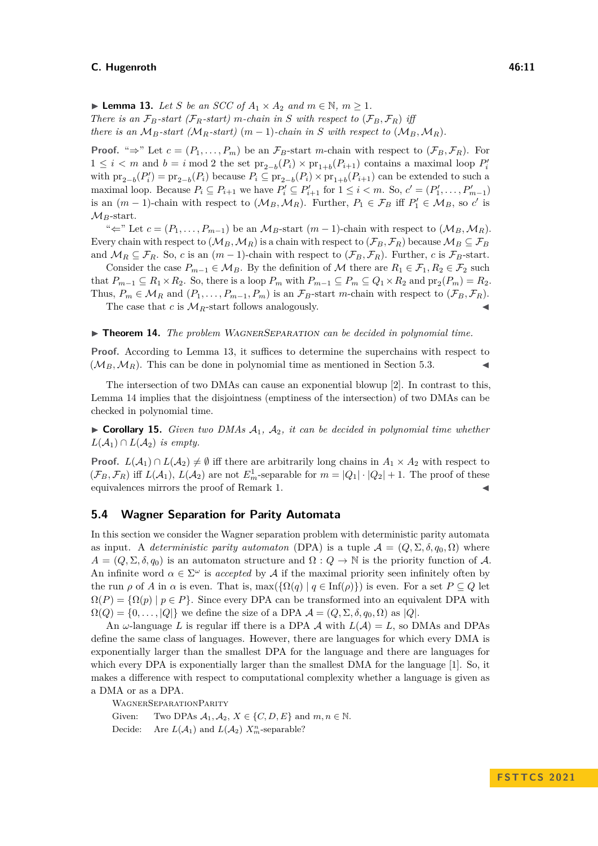▶ **Lemma 13.** *Let S be an SCC of*  $A_1 \times A_2$  *and*  $m \in \mathbb{N}$ *,*  $m \ge 1$ *. There is an*  $\mathcal{F}_B$ *-start (* $\mathcal{F}_R$ *-start) m-chain in S with respect to* ( $\mathcal{F}_B$ ,  $\mathcal{F}_R$ ) *iff there is an*  $M_B$ *-start* ( $M_B$ *-start*) ( $m-1$ )*-chain in S* with respect to ( $M_B$ ,  $M_B$ ).

**Proof.** "⇒" Let  $c = (P_1, \ldots, P_m)$  be an  $\mathcal{F}_B$ -start *m*-chain with respect to  $(\mathcal{F}_B, \mathcal{F}_R)$ . For  $1 \leq i < m$  and  $b = i$  mod 2 the set  $\text{pr}_{2-b}(P_i) \times \text{pr}_{1+b}(P_{i+1})$  contains a maximal loop  $P'_i$ with  $\text{pr}_{2-b}(P_i') = \text{pr}_{2-b}(P_i)$  because  $P_i \subseteq \text{pr}_{2-b}(P_i) \times \text{pr}_{1+b}(P_{i+1})$  can be extended to such a maximal loop. Because  $P_i \subseteq P_{i+1}$  we have  $P'_i \subseteq P'_{i+1}$  for  $1 \leq i < m$ . So,  $c' = (P'_1, \ldots, P'_{m-1})$ is an  $(m-1)$ -chain with respect to  $(\mathcal{M}_B, \mathcal{M}_R)$ . Further,  $P_1 \in \mathcal{F}_B$  iff  $P'_1 \in \mathcal{M}_B$ , so *c'* is  $M_B$ -start.

" $\Leftarrow$ " Let  $c = (P_1, \ldots, P_{m-1})$  be an  $\mathcal{M}_B$ -start  $(m-1)$ -chain with respect to  $(\mathcal{M}_B, \mathcal{M}_R)$ . Every chain with respect to  $(\mathcal{M}_B, \mathcal{M}_R)$  is a chain with respect to  $(\mathcal{F}_B, \mathcal{F}_R)$  because  $\mathcal{M}_B \subseteq \mathcal{F}_B$ and  $\mathcal{M}_R \subseteq \mathcal{F}_R$ . So, *c* is an  $(m-1)$ -chain with respect to  $(\mathcal{F}_B, \mathcal{F}_R)$ . Further, *c* is  $\mathcal{F}_B$ -start.

Consider the case  $P_{m-1} \in M_B$ . By the definition of M there are  $R_1 \in \mathcal{F}_1, R_2 \in \mathcal{F}_2$  such that  $P_{m-1} \subseteq R_1 \times R_2$ . So, there is a loop  $P_m$  with  $P_{m-1} \subseteq P_m \subseteq Q_1 \times R_2$  and  $\text{pr}_2(P_m) = R_2$ . Thus,  $P_m \in \mathcal{M}_R$  and  $(P_1, \ldots, P_{m-1}, P_m)$  is an  $\mathcal{F}_B$ -start *m*-chain with respect to  $(\mathcal{F}_B, \mathcal{F}_R)$ .

The case that  $c$  is  $\mathcal{M}_R$ -start follows analogously.

#### <span id="page-10-0"></span>▶ **Theorem 14.** *The problem WAGNERSEPARATION can be decided in polynomial time.*

**Proof.** According to Lemma [13,](#page-9-0) it suffices to determine the superchains with respect to  $(\mathcal{M}_B, \mathcal{M}_R)$ . This can be done in polynomial time as mentioned in Section [5.3.](#page-9-1)

The intersection of two DMAs can cause an exponential blowup [\[2\]](#page-12-11). In contrast to this, Lemma [14](#page-10-0) implies that the disjointness (emptiness of the intersection) of two DMAs can be checked in polynomial time.

 $\triangleright$  **Corollary 15.** *Given two DMAs*  $A_1$ *,*  $A_2$ *, it can be decided in polynomial time whether*  $L(\mathcal{A}_1) \cap L(\mathcal{A}_2)$  *is empty.* 

**Proof.**  $L(A_1) \cap L(A_2) \neq \emptyset$  iff there are arbitrarily long chains in  $A_1 \times A_2$  with respect to  $(\mathcal{F}_B, \mathcal{F}_R)$  iff  $L(\mathcal{A}_1)$ ,  $L(\mathcal{A}_2)$  are not  $E_m^1$ -separable for  $m = |Q_1| \cdot |Q_2| + 1$ . The proof of these equivalences mirrors the proof of Remark [1.](#page-3-0)

## **5.4 Wagner Separation for Parity Automata**

In this section we consider the Wagner separation problem with deterministic parity automata as input. A *deterministic parity automaton* (DPA) is a tuple  $\mathcal{A} = (Q, \Sigma, \delta, q_0, \Omega)$  where  $A = (Q, \Sigma, \delta, q_0)$  is an automaton structure and  $\Omega: Q \to \mathbb{N}$  is the priority function of A. An infinite word  $\alpha \in \Sigma^{\omega}$  is *accepted* by A if the maximal priority seen infinitely often by the run  $\rho$  of *A* in  $\alpha$  is even. That is, max( $\{\Omega(q) | q \in \text{Inf}(\rho)\}\)$  is even. For a set  $P \subseteq Q$  let  $\Omega(P) = {\Omega(p) \mid p \in P}$ . Since every DPA can be transformed into an equivalent DPA with  $\Omega(Q) = \{0, \ldots, |Q|\}$  we define the size of a DPA  $\mathcal{A} = (Q, \Sigma, \delta, q_0, \Omega)$  as |Q|.

An  $\omega$ -language L is regular iff there is a DPA  $\mathcal A$  with  $L(\mathcal A) = L$ , so DMAs and DPAs define the same class of languages. However, there are languages for which every DMA is exponentially larger than the smallest DPA for the language and there are languages for which every DPA is exponentially larger than the smallest DMA for the language [\[1\]](#page-12-8). So, it makes a difference with respect to computational complexity whether a language is given as a DMA or as a DPA.

WagnerSeparationParity

Given: Two DPAs  $A_1, A_2, X \in \{C, D, E\}$  and  $m, n \in \mathbb{N}$ .

Decide: Are  $L(\mathcal{A}_1)$  and  $L(\mathcal{A}_2)$   $X_m^n$ -separable?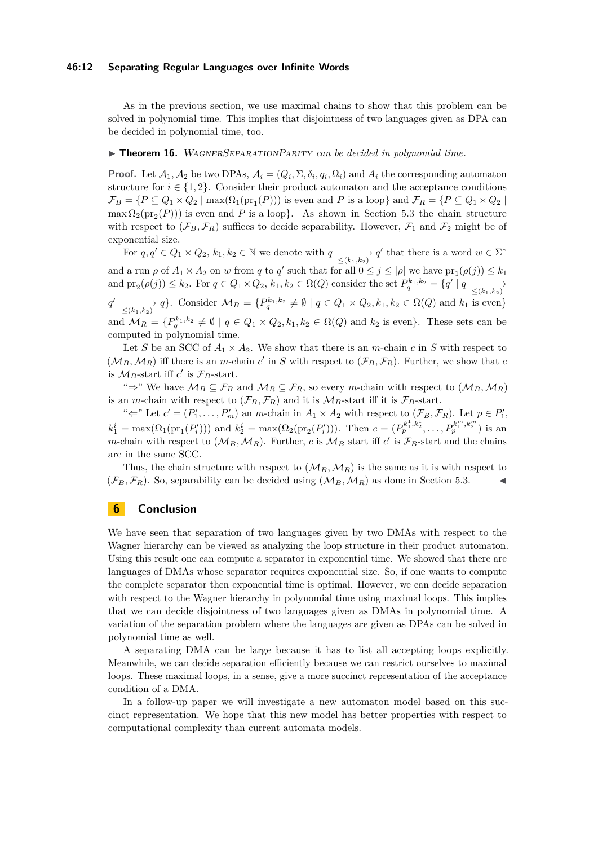#### **46:12 Separating Regular Languages over Infinite Words**

As in the previous section, we use maximal chains to show that this problem can be solved in polynomial time. This implies that disjointness of two languages given as DPA can be decided in polynomial time, too.

#### ▶ **Theorem 16.** WAGNERSEPARATIONPARITY *can be decided in polynomial time.*

**Proof.** Let  $A_1, A_2$  be two DPAs,  $A_i = (Q_i, \Sigma, \delta_i, q_i, \Omega_i)$  and  $A_i$  the corresponding automaton structure for  $i \in \{1, 2\}$ . Consider their product automaton and the acceptance conditions  $\mathcal{F}_B = \{P \subseteq Q_1 \times Q_2 \mid \max(\Omega_1(\text{pr}_1(P))) \text{ is even and } P \text{ is a loop}\}$  and  $\mathcal{F}_R = \{P \subseteq Q_1 \times Q_2 \mid \text{pr}_1(P) \text{ is even and } P \text{ is a loop}\}$  $\max \Omega_2(\text{pr}_2(P))$  is even and *P* is a loop}. As shown in Section [5.3](#page-9-1) the chain structure with respect to  $(\mathcal{F}_B, \mathcal{F}_R)$  suffices to decide separability. However,  $\mathcal{F}_1$  and  $\mathcal{F}_2$  might be of exponential size.

For  $q, q' \in Q_1 \times Q_2$ ,  $k_1, k_2 \in \mathbb{N}$  we denote with  $q \xrightarrow{\leq (k_1, k_2)} q'$  that there is a word  $w \in \Sigma^*$ and a run  $\rho$  of  $A_1 \times A_2$  on *w* from *q* to *q'* such that for all  $0 \le j \le |\rho|$  we have  $pr_1(\rho(j)) \le k_1$ and  $\text{pr}_2(\rho(j)) \leq k_2$ . For  $q \in Q_1 \times Q_2$ ,  $k_1, k_2 \in \Omega(Q)$  consider the set  $P_q^{k_1, k_2} = \{q' \mid q \xrightarrow{\leq (k_1, k_2)}$  $q' \xrightarrow[\leq (k_1, k_2)]{} q$ . Consider  $\mathcal{M}_B = \{P_q^{k_1, k_2} \neq \emptyset \mid q \in Q_1 \times Q_2, k_1, k_2 \in \Omega(Q) \text{ and } k_1 \text{ is even}\}$ and  $\mathcal{M}_R = \{P_q^{k_1,k_2} \neq \emptyset \mid q \in Q_1 \times Q_2, k_1, k_2 \in \Omega(Q) \text{ and } k_2 \text{ is even}\}.$  These sets can be computed in polynomial time.

Let *S* be an SCC of  $A_1 \times A_2$ . We show that there is an *m*-chain *c* in *S* with respect to  $(\mathcal{M}_B, \mathcal{M}_R)$  iff there is an *m*-chain *c*' in *S* with respect to  $(\mathcal{F}_B, \mathcal{F}_R)$ . Further, we show that *c* is  $\mathcal{M}_B$ -start iff  $c'$  is  $\mathcal{F}_B$ -start.

"⇒" We have  $M_B \subseteq \mathcal{F}_B$  and  $M_R \subseteq \mathcal{F}_R$ , so every *m*-chain with respect to  $(M_B, M_R)$ is an *m*-chain with respect to  $(\mathcal{F}_B, \mathcal{F}_R)$  and it is  $\mathcal{M}_B$ -start iff it is  $\mathcal{F}_B$ -start.

"
ightharpoonup  $c' = (P'_1, \ldots, P'_m)$  and *m*-chain in  $A_1 \times A_2$  with respect to  $(\mathcal{F}_B, \mathcal{F}_R)$ . Let  $p \in P'_1$ ,  $k_1^i = \max(\Omega_1(\text{pr}_1(P_i')))$  and  $k_2^i = \max(\Omega_2(\text{pr}_2(P_i')))$ . Then  $c = (P_p^{k_1^1, k_2^1}, \dots, P_p^{k_1^m, k_2^m})$  is an *m*-chain with respect to  $(\mathcal{M}_B, \mathcal{M}_R)$ . Further, *c* is  $\mathcal{M}_B$  start iff *c*' is  $\mathcal{F}_B$ -start and the chains are in the same SCC.

Thus, the chain structure with respect to  $(M_B, M_R)$  is the same as it is with respect to  $(\mathcal{F}_B, \mathcal{F}_B)$ . So, separability can be decided using  $(\mathcal{M}_B, \mathcal{M}_B)$  as done in Section [5.3.](#page-9-1)

# **6 Conclusion**

We have seen that separation of two languages given by two DMAs with respect to the Wagner hierarchy can be viewed as analyzing the loop structure in their product automaton. Using this result one can compute a separator in exponential time. We showed that there are languages of DMAs whose separator requires exponential size. So, if one wants to compute the complete separator then exponential time is optimal. However, we can decide separation with respect to the Wagner hierarchy in polynomial time using maximal loops. This implies that we can decide disjointness of two languages given as DMAs in polynomial time. A variation of the separation problem where the languages are given as DPAs can be solved in polynomial time as well.

A separating DMA can be large because it has to list all accepting loops explicitly. Meanwhile, we can decide separation efficiently because we can restrict ourselves to maximal loops. These maximal loops, in a sense, give a more succinct representation of the acceptance condition of a DMA.

In a follow-up paper we will investigate a new automaton model based on this succinct representation. We hope that this new model has better properties with respect to computational complexity than current automata models.